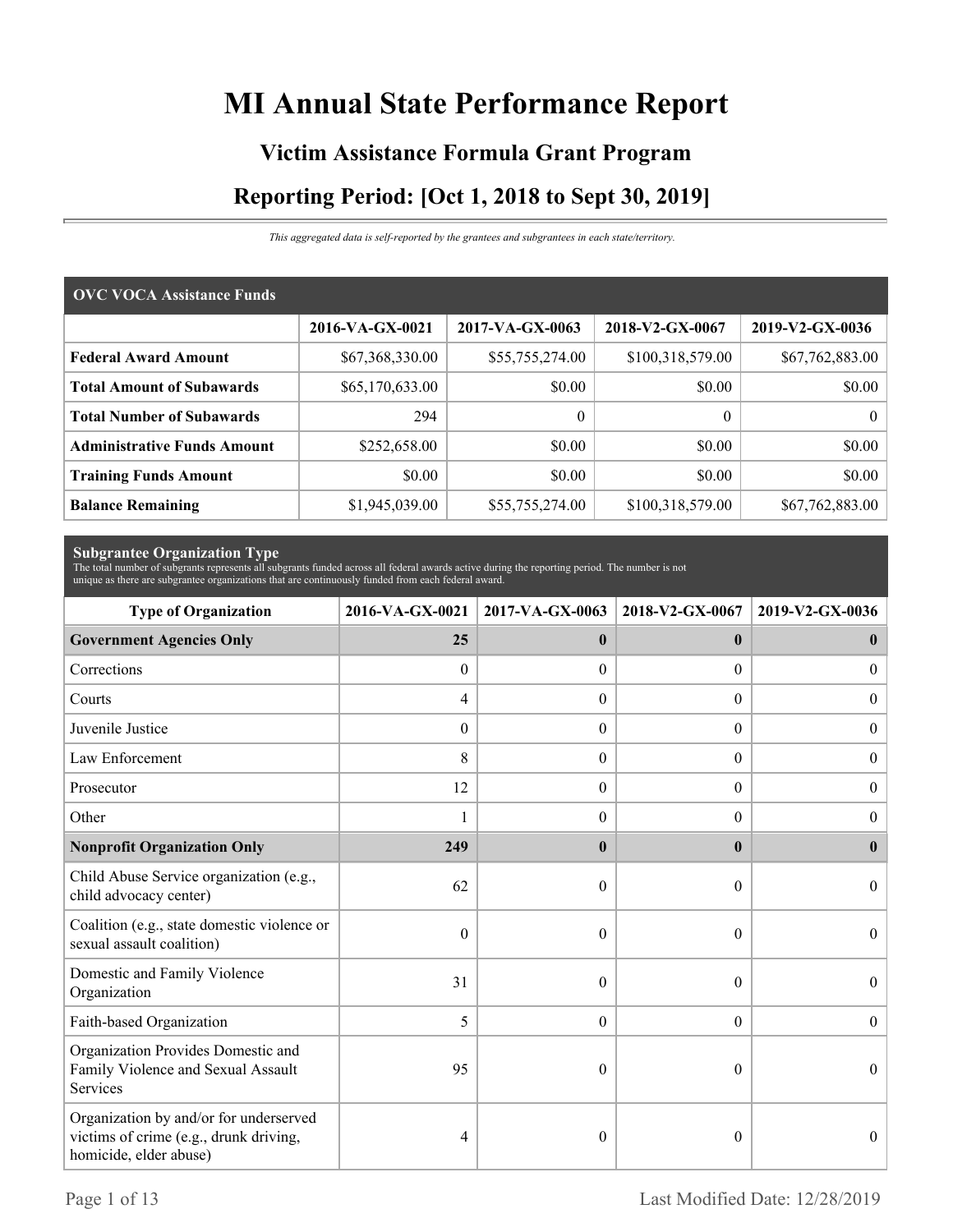# **MI Annual State Performance Report**

# **Victim Assistance Formula Grant Program Reporting Period: [Oct 1, 2018 to Sept 30, 2019]**

*This aggregated data is self-reported by the grantees and subgrantees in each state/territory.*

| <b>OVC VOCA Assistance Funds</b>   |                 |                 |                  |                 |  |  |  |
|------------------------------------|-----------------|-----------------|------------------|-----------------|--|--|--|
|                                    | 2016-VA-GX-0021 | 2017-VA-GX-0063 | 2018-V2-GX-0067  | 2019-V2-GX-0036 |  |  |  |
| <b>Federal Award Amount</b>        | \$67,368,330.00 | \$55,755,274.00 | \$100,318,579.00 | \$67,762,883.00 |  |  |  |
| <b>Total Amount of Subawards</b>   | \$65,170,633.00 | \$0.00          | \$0.00           | \$0.00          |  |  |  |
| <b>Total Number of Subawards</b>   | 294             | $\theta$        | $\boldsymbol{0}$ | $\overline{0}$  |  |  |  |
| <b>Administrative Funds Amount</b> | \$252,658.00    | \$0.00          | \$0.00           | \$0.00          |  |  |  |
| <b>Training Funds Amount</b>       | \$0.00          | \$0.00          | \$0.00           | \$0.00          |  |  |  |
| <b>Balance Remaining</b>           | \$1,945,039.00  | \$55,755,274.00 | \$100,318,579.00 | \$67,762,883.00 |  |  |  |

**Subgrantee Organization Type** The total number of subgrants represents all subgrants funded across all federal awards active during the reporting period. The number is not unique as there are subgrantee organizations that are continuously funded from each federal award.

| <b>Type of Organization</b>                                                                                | 2016-VA-GX-0021  | 2017-VA-GX-0063  | 2018-V2-GX-0067 | 2019-V2-GX-0036  |
|------------------------------------------------------------------------------------------------------------|------------------|------------------|-----------------|------------------|
| <b>Government Agencies Only</b>                                                                            | 25               | $\bf{0}$         | $\bf{0}$        | $\bf{0}$         |
| Corrections                                                                                                | $\boldsymbol{0}$ | $\Omega$         | $\Omega$        | $\overline{0}$   |
| Courts                                                                                                     | $\overline{4}$   | $\overline{0}$   | $\overline{0}$  | $\mathbf{0}$     |
| Juvenile Justice                                                                                           | $\theta$         | $\boldsymbol{0}$ | $\overline{0}$  | $\boldsymbol{0}$ |
| Law Enforcement                                                                                            | 8                | $\overline{0}$   | $\overline{0}$  | $\boldsymbol{0}$ |
| Prosecutor                                                                                                 | 12               | $\theta$         | $\Omega$        | $\overline{0}$   |
| Other                                                                                                      | 1                | $\Omega$         | $\theta$        | $\overline{0}$   |
| <b>Nonprofit Organization Only</b>                                                                         | 249              | $\mathbf{0}$     | $\mathbf{0}$    | $\mathbf{0}$     |
| Child Abuse Service organization (e.g.,<br>child advocacy center)                                          | 62               | $\theta$         | $\theta$        | $\theta$         |
| Coalition (e.g., state domestic violence or<br>sexual assault coalition)                                   | $\boldsymbol{0}$ | $\theta$         | $\theta$        | $\theta$         |
| Domestic and Family Violence<br>Organization                                                               | 31               | $\Omega$         | $\theta$        | $\Omega$         |
| Faith-based Organization                                                                                   | 5                | $\boldsymbol{0}$ | $\overline{0}$  | $\boldsymbol{0}$ |
| Organization Provides Domestic and<br>Family Violence and Sexual Assault<br><b>Services</b>                | 95               | $\theta$         | $\theta$        | $\theta$         |
| Organization by and/or for underserved<br>victims of crime (e.g., drunk driving,<br>homicide, elder abuse) | 4                | $\theta$         | $\theta$        | $\theta$         |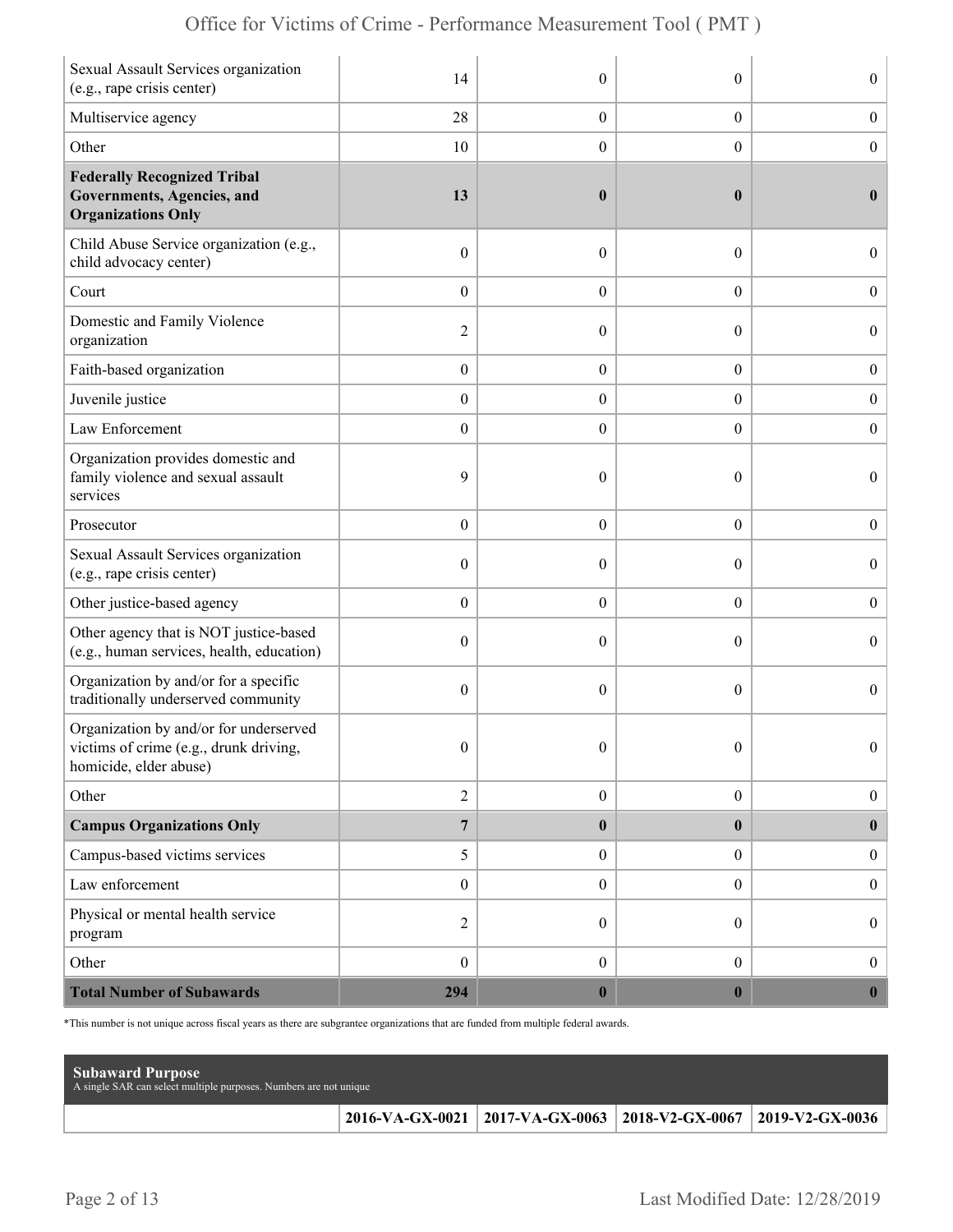| Sexual Assault Services organization<br>(e.g., rape crisis center)                                         | 14               | $\theta$         | $\theta$         | $\overline{0}$   |
|------------------------------------------------------------------------------------------------------------|------------------|------------------|------------------|------------------|
| Multiservice agency                                                                                        | 28               | $\overline{0}$   | $\boldsymbol{0}$ | $\boldsymbol{0}$ |
| Other                                                                                                      | 10               | $\boldsymbol{0}$ | $\boldsymbol{0}$ | $\boldsymbol{0}$ |
| <b>Federally Recognized Tribal</b><br><b>Governments, Agencies, and</b><br><b>Organizations Only</b>       | 13               | $\boldsymbol{0}$ | $\bf{0}$         | $\bf{0}$         |
| Child Abuse Service organization (e.g.,<br>child advocacy center)                                          | $\boldsymbol{0}$ | $\theta$         | $\theta$         | $\overline{0}$   |
| Court                                                                                                      | $\boldsymbol{0}$ | $\theta$         | $\overline{0}$   | $\boldsymbol{0}$ |
| Domestic and Family Violence<br>organization                                                               | $\overline{c}$   | $\theta$         | $\theta$         | $\boldsymbol{0}$ |
| Faith-based organization                                                                                   | $\mathbf{0}$     | $\overline{0}$   | $\boldsymbol{0}$ | $\boldsymbol{0}$ |
| Juvenile justice                                                                                           | $\boldsymbol{0}$ | $\overline{0}$   | $\boldsymbol{0}$ | $\boldsymbol{0}$ |
| Law Enforcement                                                                                            | $\boldsymbol{0}$ | $\boldsymbol{0}$ | $\overline{0}$   | $\boldsymbol{0}$ |
| Organization provides domestic and<br>family violence and sexual assault<br>services                       | 9                | $\mathbf{0}$     | $\theta$         | $\overline{0}$   |
| Prosecutor                                                                                                 | $\boldsymbol{0}$ | $\theta$         | $\overline{0}$   | $\boldsymbol{0}$ |
| Sexual Assault Services organization<br>(e.g., rape crisis center)                                         | $\mathbf{0}$     | $\theta$         | $\theta$         | $\overline{0}$   |
| Other justice-based agency                                                                                 | $\boldsymbol{0}$ | $\overline{0}$   | $\boldsymbol{0}$ | $\boldsymbol{0}$ |
| Other agency that is NOT justice-based<br>(e.g., human services, health, education)                        | $\boldsymbol{0}$ | $\theta$         | $\theta$         | $\boldsymbol{0}$ |
| Organization by and/or for a specific<br>traditionally underserved community                               | $\boldsymbol{0}$ | $\boldsymbol{0}$ | $\boldsymbol{0}$ | $\boldsymbol{0}$ |
| Organization by and/or for underserved<br>victims of crime (e.g., drunk driving,<br>homicide, elder abuse) | $\mathbf{0}$     | $\theta$         | $\theta$         | $\boldsymbol{0}$ |
| Other                                                                                                      | $\overline{c}$   | $\boldsymbol{0}$ | $\boldsymbol{0}$ | $\boldsymbol{0}$ |
| <b>Campus Organizations Only</b>                                                                           | $\overline{7}$   | $\bf{0}$         | $\bf{0}$         | $\bf{0}$         |
| Campus-based victims services                                                                              | 5                | $\overline{0}$   | $\boldsymbol{0}$ | $\boldsymbol{0}$ |
| Law enforcement                                                                                            | $\boldsymbol{0}$ | $\boldsymbol{0}$ | $\boldsymbol{0}$ | $\boldsymbol{0}$ |
| Physical or mental health service<br>program                                                               | $\sqrt{2}$       | $\boldsymbol{0}$ | $\boldsymbol{0}$ | $\boldsymbol{0}$ |
| Other                                                                                                      | $\boldsymbol{0}$ | $\overline{0}$   | $\overline{0}$   | $\mathbf{0}$     |
| <b>Total Number of Subawards</b>                                                                           | 294              | $\boldsymbol{0}$ | $\bf{0}$         | $\bf{0}$         |

\*This number is not unique across fiscal years as there are subgrantee organizations that are funded from multiple federal awards.

| <b>Subaward Purpose</b><br>A single SAR can select multiple purposes. Numbers are not unique |                                                                       |  |
|----------------------------------------------------------------------------------------------|-----------------------------------------------------------------------|--|
|                                                                                              | 2016-VA-GX-0021   2017-VA-GX-0063   2018-V2-GX-0067   2019-V2-GX-0036 |  |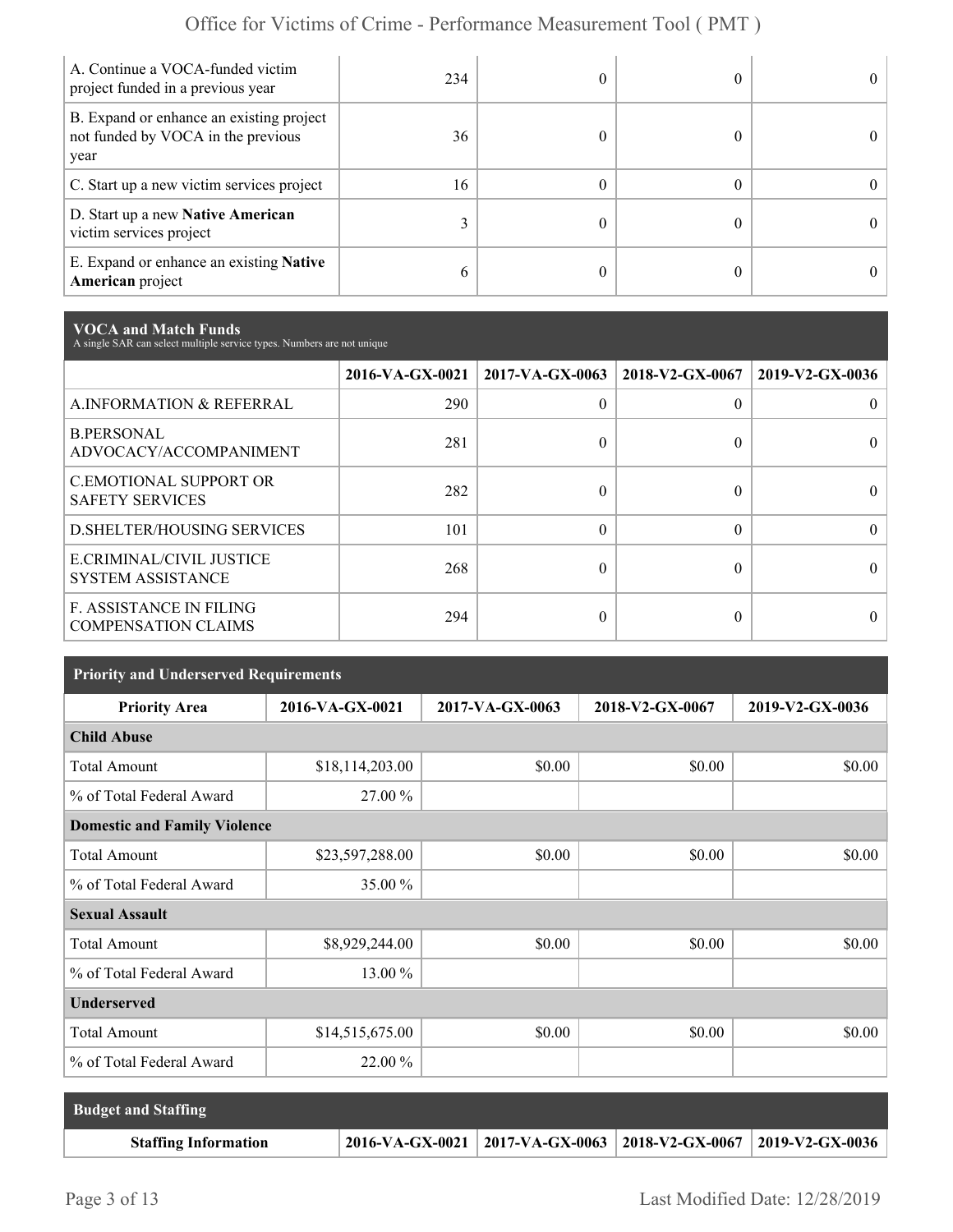| A. Continue a VOCA-funded victim<br>project funded in a previous year                  | 234 |  |  |
|----------------------------------------------------------------------------------------|-----|--|--|
| B. Expand or enhance an existing project<br>not funded by VOCA in the previous<br>year | 36  |  |  |
| C. Start up a new victim services project                                              | 16  |  |  |
| D. Start up a new Native American<br>victim services project                           |     |  |  |
| E. Expand or enhance an existing <b>Native</b><br>American project                     | 6   |  |  |

**VOCA and Match Funds** A single SAR can select multiple service types. Numbers are not unique

|                                                              | 2016-VA-GX-0021 | $2017$ -VA-GX-0063 | $2018-V2-GX-0067$ | 2019-V2-GX-0036 |
|--------------------------------------------------------------|-----------------|--------------------|-------------------|-----------------|
| A.INFORMATION & REFERRAL                                     | 290             | $\theta$           | 0                 |                 |
| <b>B.PERSONAL</b><br>ADVOCACY/ACCOMPANIMENT                  | 281             |                    | 0                 |                 |
| <b>C.EMOTIONAL SUPPORT OR</b><br><b>SAFETY SERVICES</b>      | 282             |                    | 0                 |                 |
| <b>D.SHELTER/HOUSING SERVICES</b>                            | 101             | $\Omega$           | $\Omega$          |                 |
| E.CRIMINAL/CIVIL JUSTICE<br><b>SYSTEM ASSISTANCE</b>         | 268             |                    | 0                 |                 |
| <b>F. ASSISTANCE IN FILING</b><br><b>COMPENSATION CLAIMS</b> | 294             |                    | 0                 |                 |

| <b>Priority and Underserved Requirements</b> |                 |                 |                 |                 |  |  |  |
|----------------------------------------------|-----------------|-----------------|-----------------|-----------------|--|--|--|
| <b>Priority Area</b>                         | 2016-VA-GX-0021 | 2017-VA-GX-0063 | 2018-V2-GX-0067 | 2019-V2-GX-0036 |  |  |  |
| <b>Child Abuse</b>                           |                 |                 |                 |                 |  |  |  |
| <b>Total Amount</b>                          | \$18,114,203.00 | \$0.00          | \$0.00          | \$0.00          |  |  |  |
| % of Total Federal Award                     | 27.00 %         |                 |                 |                 |  |  |  |
| <b>Domestic and Family Violence</b>          |                 |                 |                 |                 |  |  |  |
| <b>Total Amount</b>                          | \$23,597,288.00 | \$0.00          | \$0.00          | \$0.00          |  |  |  |
| % of Total Federal Award                     | 35.00 %         |                 |                 |                 |  |  |  |
| <b>Sexual Assault</b>                        |                 |                 |                 |                 |  |  |  |
| <b>Total Amount</b>                          | \$8,929,244.00  | \$0.00          | \$0.00          | \$0.00          |  |  |  |
| % of Total Federal Award                     | 13.00 %         |                 |                 |                 |  |  |  |
| <b>Underserved</b>                           |                 |                 |                 |                 |  |  |  |
| <b>Total Amount</b>                          | \$14,515,675.00 | \$0.00          | \$0.00          | \$0.00          |  |  |  |
| % of Total Federal Award                     | 22.00 %         |                 |                 |                 |  |  |  |

| <b>Budget and Staffing</b>  |                                                                          |  |
|-----------------------------|--------------------------------------------------------------------------|--|
| <b>Staffing Information</b> | $2016$ -VA-GX-0021   2017-VA-GX-0063   2018-V2-GX-0067   2019-V2-GX-0036 |  |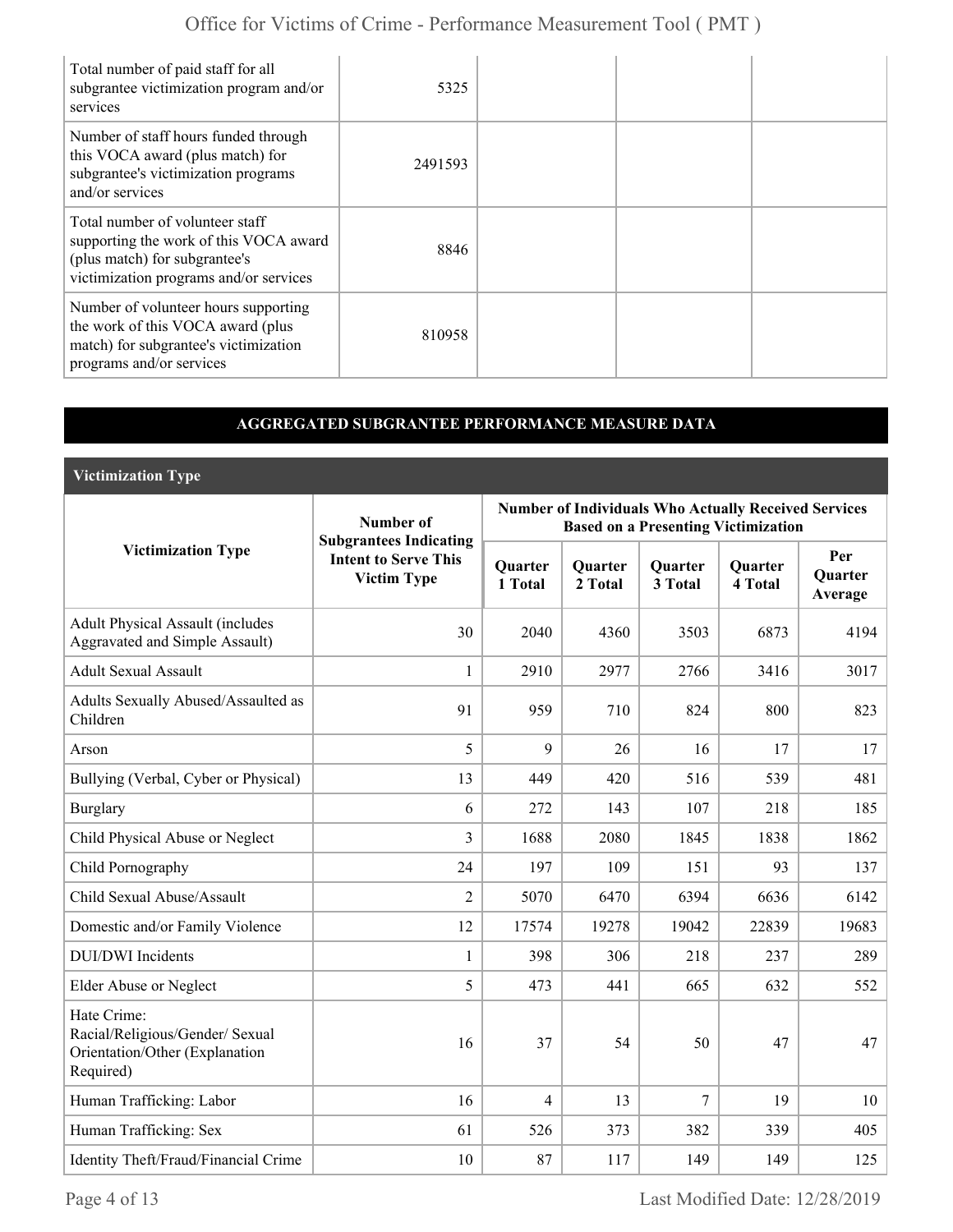| Total number of paid staff for all<br>subgrantee victimization program and/or<br>services                                                            | 5325    |  |  |
|------------------------------------------------------------------------------------------------------------------------------------------------------|---------|--|--|
| Number of staff hours funded through<br>this VOCA award (plus match) for<br>subgrantee's victimization programs<br>and/or services                   | 2491593 |  |  |
| Total number of volunteer staff<br>supporting the work of this VOCA award<br>(plus match) for subgrantee's<br>victimization programs and/or services | 8846    |  |  |
| Number of volunteer hours supporting<br>the work of this VOCA award (plus<br>match) for subgrantee's victimization<br>programs and/or services       | 810958  |  |  |

#### **AGGREGATED SUBGRANTEE PERFORMANCE MEASURE DATA**

**Victimization Type**

|                                                                                               | Number of                                                                          | <b>Number of Individuals Who Actually Received Services</b><br><b>Based on a Presenting Victimization</b> |                           |                           |                           |                           |
|-----------------------------------------------------------------------------------------------|------------------------------------------------------------------------------------|-----------------------------------------------------------------------------------------------------------|---------------------------|---------------------------|---------------------------|---------------------------|
| <b>Victimization Type</b>                                                                     | <b>Subgrantees Indicating</b><br><b>Intent to Serve This</b><br><b>Victim Type</b> | <b>Quarter</b><br>1 Total                                                                                 | <b>Quarter</b><br>2 Total | <b>Quarter</b><br>3 Total | <b>Ouarter</b><br>4 Total | Per<br>Quarter<br>Average |
| <b>Adult Physical Assault (includes</b><br><b>Aggravated and Simple Assault)</b>              | 30                                                                                 | 2040                                                                                                      | 4360                      | 3503                      | 6873                      | 4194                      |
| <b>Adult Sexual Assault</b>                                                                   | 1                                                                                  | 2910                                                                                                      | 2977                      | 2766                      | 3416                      | 3017                      |
| Adults Sexually Abused/Assaulted as<br>Children                                               | 91                                                                                 | 959                                                                                                       | 710                       | 824                       | 800                       | 823                       |
| Arson                                                                                         | 5                                                                                  | 9                                                                                                         | 26                        | 16                        | 17                        | 17                        |
| Bullying (Verbal, Cyber or Physical)                                                          | 13                                                                                 | 449                                                                                                       | 420                       | 516                       | 539                       | 481                       |
| <b>Burglary</b>                                                                               | 6                                                                                  | 272                                                                                                       | 143                       | 107                       | 218                       | 185                       |
| Child Physical Abuse or Neglect                                                               | $\overline{3}$                                                                     | 1688                                                                                                      | 2080                      | 1845                      | 1838                      | 1862                      |
| Child Pornography                                                                             | 24                                                                                 | 197                                                                                                       | 109                       | 151                       | 93                        | 137                       |
| Child Sexual Abuse/Assault                                                                    | $\overline{2}$                                                                     | 5070                                                                                                      | 6470                      | 6394                      | 6636                      | 6142                      |
| Domestic and/or Family Violence                                                               | 12                                                                                 | 17574                                                                                                     | 19278                     | 19042                     | 22839                     | 19683                     |
| <b>DUI/DWI</b> Incidents                                                                      | $\mathbf{1}$                                                                       | 398                                                                                                       | 306                       | 218                       | 237                       | 289                       |
| <b>Elder Abuse or Neglect</b>                                                                 | 5                                                                                  | 473                                                                                                       | 441                       | 665                       | 632                       | 552                       |
| Hate Crime:<br>Racial/Religious/Gender/ Sexual<br>Orientation/Other (Explanation<br>Required) | 16                                                                                 | 37                                                                                                        | 54                        | 50                        | 47                        | 47                        |
| Human Trafficking: Labor                                                                      | 16                                                                                 | $\overline{4}$                                                                                            | 13                        | $\overline{7}$            | 19                        | 10                        |
| Human Trafficking: Sex                                                                        | 61                                                                                 | 526                                                                                                       | 373                       | 382                       | 339                       | 405                       |
| Identity Theft/Fraud/Financial Crime                                                          | 10                                                                                 | 87                                                                                                        | 117                       | 149                       | 149                       | 125                       |

Page 4 of 13 Last Modified Date: 12/28/2019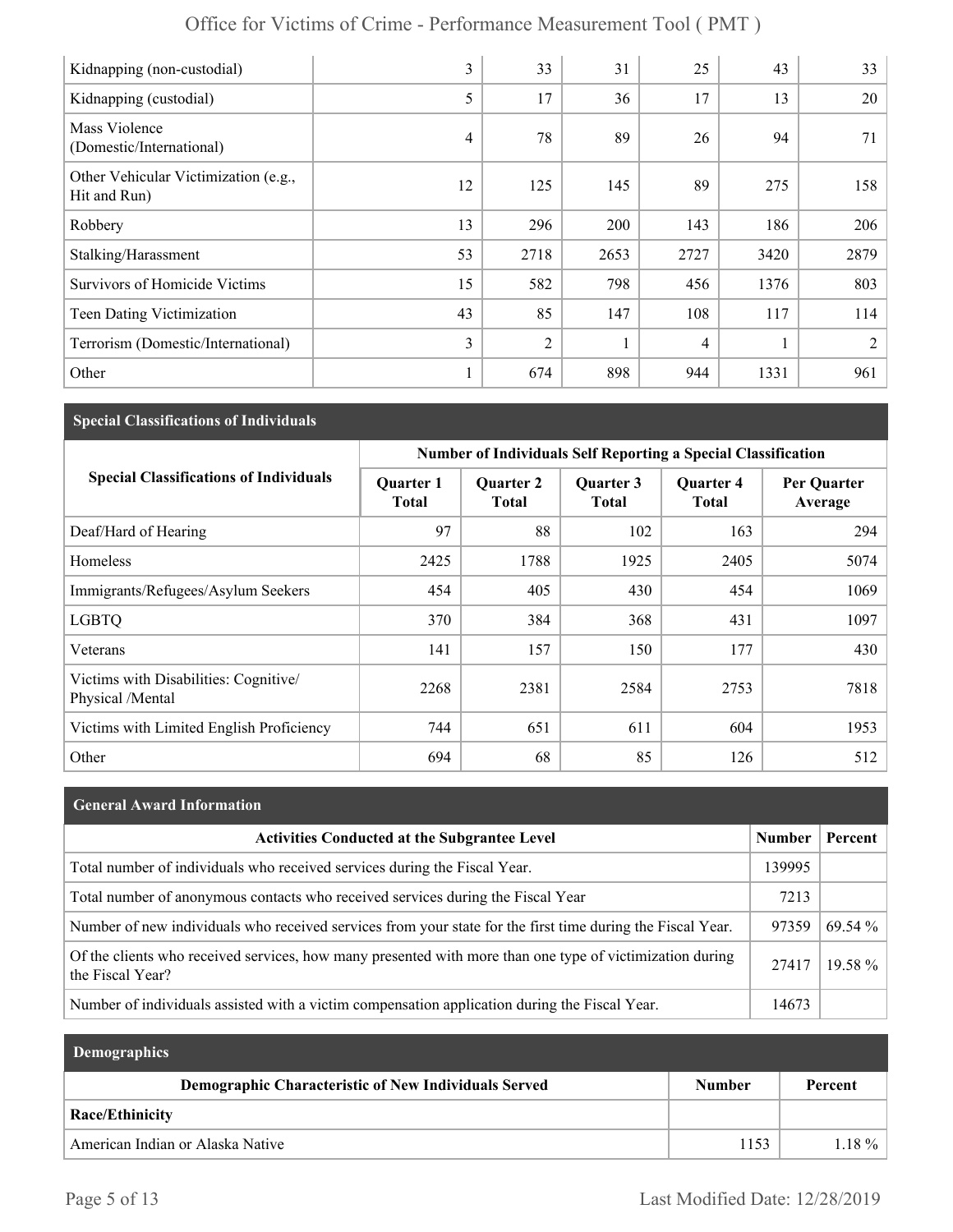|  | Office for Victims of Crime - Performance Measurement Tool (PMT) |  |  |  |  |
|--|------------------------------------------------------------------|--|--|--|--|
|--|------------------------------------------------------------------|--|--|--|--|

| Kidnapping (non-custodial)                           | 3              | 33             | 31   | 25             | 43   | 33   |
|------------------------------------------------------|----------------|----------------|------|----------------|------|------|
| Kidnapping (custodial)                               | 5              | 17             | 36   | 17             | 13   | 20   |
| Mass Violence<br>(Domestic/International)            | $\overline{4}$ | 78             | 89   | 26             | 94   | 71   |
| Other Vehicular Victimization (e.g.,<br>Hit and Run) | 12             | 125            | 145  | 89             | 275  | 158  |
| Robbery                                              | 13             | 296            | 200  | 143            | 186  | 206  |
| Stalking/Harassment                                  | 53             | 2718           | 2653 | 2727           | 3420 | 2879 |
| Survivors of Homicide Victims                        | 15             | 582            | 798  | 456            | 1376 | 803  |
| <b>Teen Dating Victimization</b>                     | 43             | 85             | 147  | 108            | 117  | 114  |
| Terrorism (Domestic/International)                   | 3              | $\overline{2}$ |      | $\overline{4}$ |      | 2    |
| Other                                                |                | 674            | 898  | 944            | 1331 | 961  |

## **Special Classifications of Individuals**

|                                                           | Number of Individuals Self Reporting a Special Classification |                           |                                  |                                  |                        |
|-----------------------------------------------------------|---------------------------------------------------------------|---------------------------|----------------------------------|----------------------------------|------------------------|
| <b>Special Classifications of Individuals</b>             | <b>Ouarter 1</b><br>Total                                     | <b>Quarter 2</b><br>Total | <b>Ouarter 3</b><br><b>Total</b> | <b>Ouarter 4</b><br><b>Total</b> | Per Quarter<br>Average |
| Deaf/Hard of Hearing                                      | 97                                                            | 88                        | 102                              | 163                              | 294                    |
| Homeless                                                  | 2425                                                          | 1788                      | 1925                             | 2405                             | 5074                   |
| Immigrants/Refugees/Asylum Seekers                        | 454                                                           | 405                       | 430                              | 454                              | 1069                   |
| <b>LGBTQ</b>                                              | 370                                                           | 384                       | 368                              | 431                              | 1097                   |
| Veterans                                                  | 141                                                           | 157                       | 150                              | 177                              | 430                    |
| Victims with Disabilities: Cognitive/<br>Physical /Mental | 2268                                                          | 2381                      | 2584                             | 2753                             | 7818                   |
| Victims with Limited English Proficiency                  | 744                                                           | 651                       | 611                              | 604                              | 1953                   |
| Other                                                     | 694                                                           | 68                        | 85                               | 126                              | 512                    |

| <b>General Award Information</b> |  |
|----------------------------------|--|
|----------------------------------|--|

| <b>Activities Conducted at the Subgrantee Level</b>                                                                          | Number | Percent   |
|------------------------------------------------------------------------------------------------------------------------------|--------|-----------|
| Total number of individuals who received services during the Fiscal Year.                                                    | 139995 |           |
| Total number of anonymous contacts who received services during the Fiscal Year                                              | 7213   |           |
| Number of new individuals who received services from your state for the first time during the Fiscal Year.                   | 97359  | 69.54 %   |
| Of the clients who received services, how many presented with more than one type of victimization during<br>the Fiscal Year? | 27417  | $19.58\%$ |
| Number of individuals assisted with a victim compensation application during the Fiscal Year.                                | 14673  |           |

| <b>Demographics</b>                                         |               |          |
|-------------------------------------------------------------|---------------|----------|
| <b>Demographic Characteristic of New Individuals Served</b> | <b>Number</b> | Percent  |
| <b>Race/Ethinicity</b>                                      |               |          |
| American Indian or Alaska Native                            | 1153          | $1.18\%$ |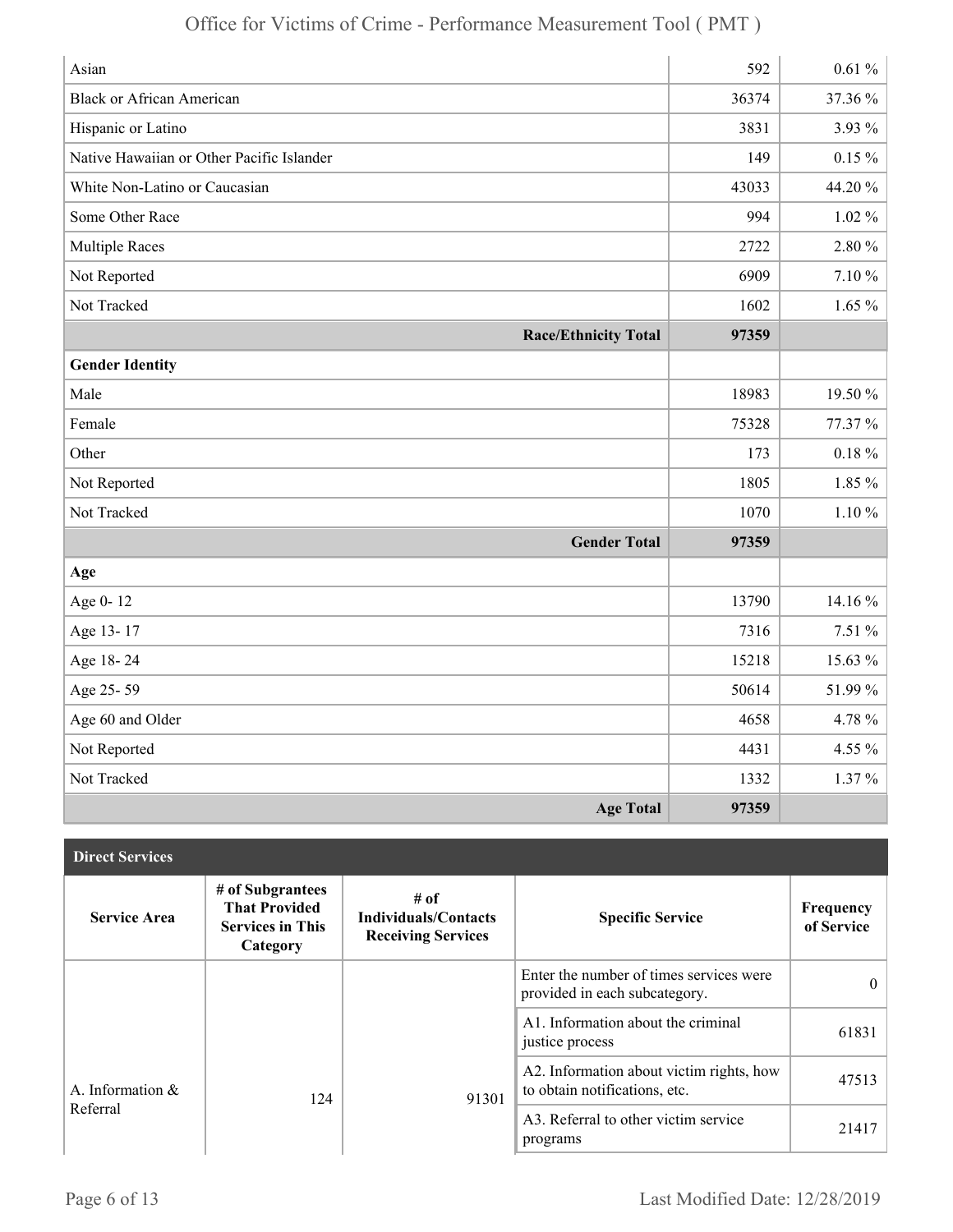| Asian                                     | 592   | $0.61\%$   |
|-------------------------------------------|-------|------------|
| <b>Black or African American</b>          | 36374 | 37.36 %    |
| Hispanic or Latino                        | 3831  | 3.93 %     |
| Native Hawaiian or Other Pacific Islander | 149   | $0.15 \%$  |
| White Non-Latino or Caucasian             | 43033 | 44.20%     |
| Some Other Race                           | 994   | $1.02\%$   |
| <b>Multiple Races</b>                     | 2722  | 2.80%      |
| Not Reported                              | 6909  | $7.10\,\%$ |
| Not Tracked                               | 1602  | $1.65\%$   |
| <b>Race/Ethnicity Total</b>               | 97359 |            |
| <b>Gender Identity</b>                    |       |            |
| Male                                      | 18983 | 19.50 %    |
| Female                                    | 75328 | 77.37 %    |
| Other                                     | 173   | $0.18~\%$  |
| Not Reported                              | 1805  | $1.85\%$   |
| Not Tracked                               | 1070  | $1.10 \%$  |
| <b>Gender Total</b>                       | 97359 |            |
| Age                                       |       |            |
| Age 0-12                                  | 13790 | 14.16 %    |
| Age 13-17                                 | 7316  | 7.51 %     |
| Age 18-24                                 | 15218 | 15.63 %    |
| Age 25-59                                 | 50614 | 51.99%     |
| Age 60 and Older                          | 4658  | 4.78 %     |
| Not Reported                              | 4431  | 4.55 %     |
| Not Tracked                               | 1332  | $1.37\%$   |
| <b>Age Total</b>                          | 97359 |            |

| <b>Direct Services</b> |                                                                                 |                                                                  |                                                                           |                         |
|------------------------|---------------------------------------------------------------------------------|------------------------------------------------------------------|---------------------------------------------------------------------------|-------------------------|
| <b>Service Area</b>    | # of Subgrantees<br><b>That Provided</b><br><b>Services in This</b><br>Category | # of<br><b>Individuals/Contacts</b><br><b>Receiving Services</b> | <b>Specific Service</b>                                                   | Frequency<br>of Service |
|                        |                                                                                 |                                                                  | Enter the number of times services were<br>provided in each subcategory.  | $\theta$                |
|                        |                                                                                 |                                                                  | A1. Information about the criminal<br>justice process                     | 61831                   |
| A. Information $\&$    | 124                                                                             | 91301                                                            | A2. Information about victim rights, how<br>to obtain notifications, etc. | 47513                   |
| Referral               |                                                                                 |                                                                  | A3. Referral to other victim service<br>programs                          | 21417                   |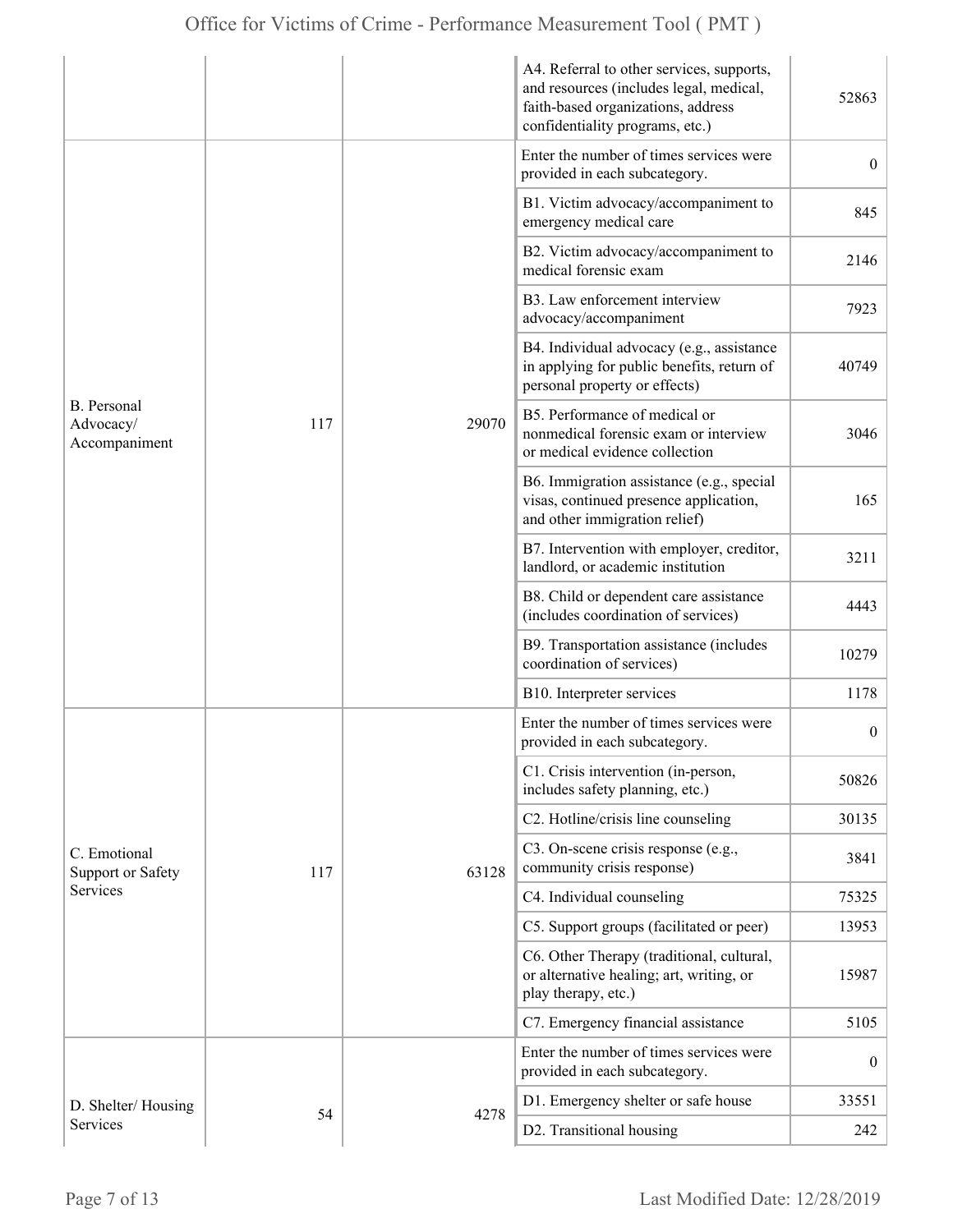|                                                  |     |       | A4. Referral to other services, supports,<br>and resources (includes legal, medical,<br>faith-based organizations, address<br>confidentiality programs, etc.) | 52863            |
|--------------------------------------------------|-----|-------|---------------------------------------------------------------------------------------------------------------------------------------------------------------|------------------|
|                                                  |     |       | Enter the number of times services were<br>provided in each subcategory.                                                                                      | $\overline{0}$   |
|                                                  |     |       | B1. Victim advocacy/accompaniment to<br>emergency medical care                                                                                                | 845              |
|                                                  |     |       | B2. Victim advocacy/accompaniment to<br>medical forensic exam                                                                                                 | 2146             |
|                                                  |     |       | B3. Law enforcement interview<br>advocacy/accompaniment                                                                                                       | 7923             |
|                                                  |     | 29070 | B4. Individual advocacy (e.g., assistance<br>in applying for public benefits, return of<br>personal property or effects)                                      | 40749            |
| <b>B.</b> Personal<br>Advocacy/<br>Accompaniment | 117 |       | B5. Performance of medical or<br>nonmedical forensic exam or interview<br>or medical evidence collection                                                      | 3046             |
|                                                  |     |       | B6. Immigration assistance (e.g., special<br>visas, continued presence application,<br>and other immigration relief)                                          | 165              |
|                                                  |     |       | B7. Intervention with employer, creditor,<br>landlord, or academic institution                                                                                | 3211             |
|                                                  |     |       | B8. Child or dependent care assistance<br>(includes coordination of services)                                                                                 | 4443             |
|                                                  |     |       | B9. Transportation assistance (includes<br>coordination of services)                                                                                          | 10279            |
|                                                  |     |       | B10. Interpreter services                                                                                                                                     | 1178             |
|                                                  |     |       | Enter the number of times services were<br>provided in each subcategory.                                                                                      | $\boldsymbol{0}$ |
|                                                  |     |       | C1. Crisis intervention (in-person,<br>includes safety planning, etc.)                                                                                        | 50826            |
|                                                  |     |       | C2. Hotline/crisis line counseling                                                                                                                            | 30135            |
| C. Emotional<br><b>Support or Safety</b>         | 117 | 63128 | C3. On-scene crisis response (e.g.,<br>community crisis response)                                                                                             | 3841             |
| Services                                         |     |       | C4. Individual counseling                                                                                                                                     | 75325            |
|                                                  |     |       | C5. Support groups (facilitated or peer)                                                                                                                      | 13953            |
|                                                  |     |       | C6. Other Therapy (traditional, cultural,<br>or alternative healing; art, writing, or<br>play therapy, etc.)                                                  | 15987            |
|                                                  |     |       | C7. Emergency financial assistance                                                                                                                            | 5105             |
|                                                  |     |       | Enter the number of times services were<br>provided in each subcategory.                                                                                      | $\overline{0}$   |
| D. Shelter/Housing                               |     |       | D1. Emergency shelter or safe house                                                                                                                           | 33551            |
| Services                                         | 54  | 4278  | D2. Transitional housing                                                                                                                                      | 242              |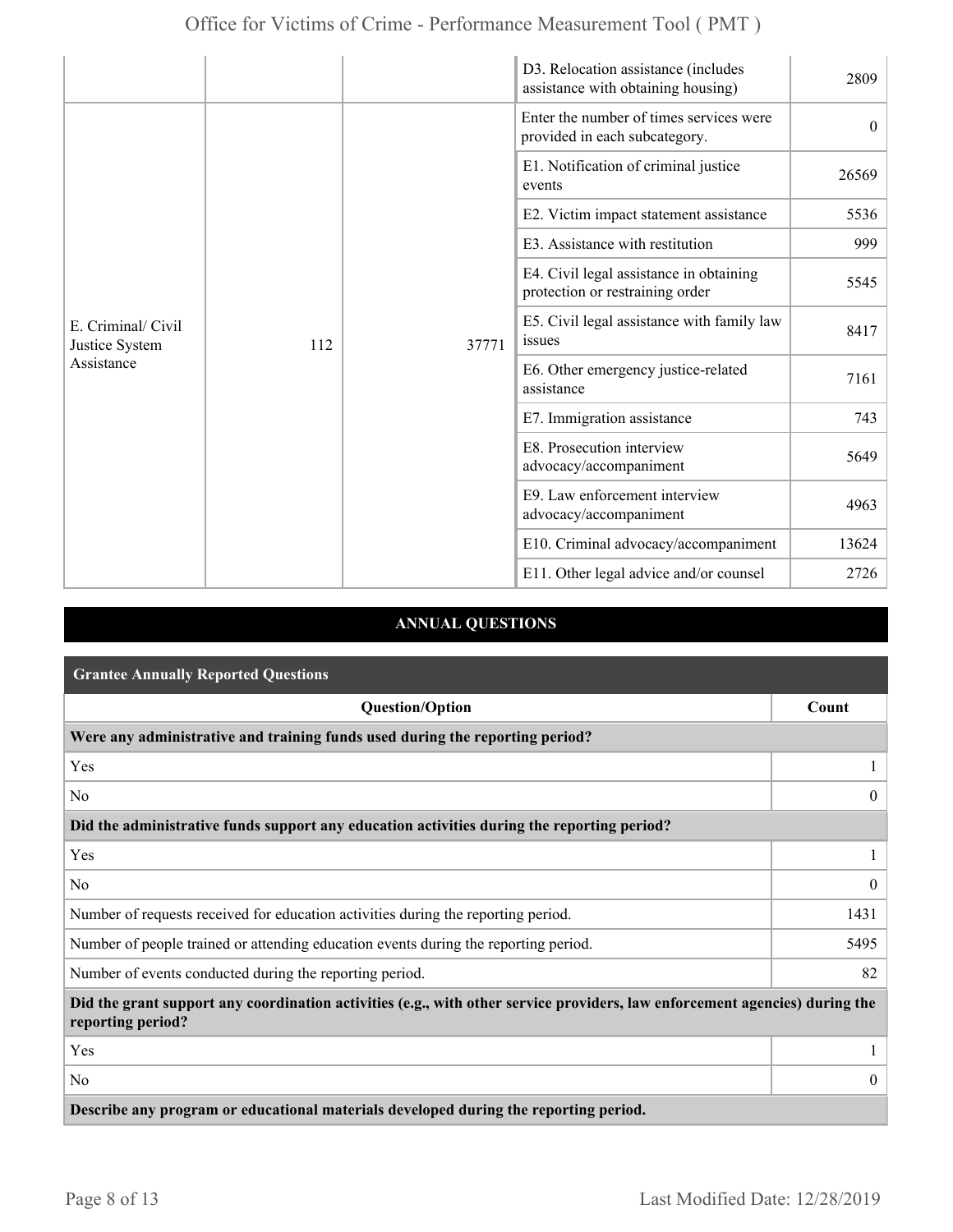|                                                    |     |       | D3. Relocation assistance (includes<br>assistance with obtaining housing)  | 2809     |
|----------------------------------------------------|-----|-------|----------------------------------------------------------------------------|----------|
|                                                    |     |       | Enter the number of times services were<br>provided in each subcategory.   | $\theta$ |
|                                                    |     |       | E1. Notification of criminal justice<br>events                             | 26569    |
|                                                    |     |       | E2. Victim impact statement assistance                                     | 5536     |
| E. Criminal/ Civil<br>Justice System<br>Assistance |     |       | E3. Assistance with restitution                                            | 999      |
|                                                    |     |       | E4. Civil legal assistance in obtaining<br>protection or restraining order | 5545     |
|                                                    | 112 | 37771 | E5. Civil legal assistance with family law<br>issues                       | 8417     |
|                                                    |     |       | E6. Other emergency justice-related<br>assistance                          | 7161     |
|                                                    |     |       | E7. Immigration assistance                                                 | 743      |
|                                                    |     |       | E8. Prosecution interview<br>advocacy/accompaniment                        | 5649     |
|                                                    |     |       | E9. Law enforcement interview<br>advocacy/accompaniment                    | 4963     |
|                                                    |     |       | E10. Criminal advocacy/accompaniment                                       | 13624    |
|                                                    |     |       | E11. Other legal advice and/or counsel                                     | 2726     |

## **ANNUAL QUESTIONS**

| <b>Grantee Annually Reported Questions</b>                                                                                                       |                |
|--------------------------------------------------------------------------------------------------------------------------------------------------|----------------|
| <b>Question/Option</b>                                                                                                                           | Count          |
| Were any administrative and training funds used during the reporting period?                                                                     |                |
| Yes                                                                                                                                              |                |
| No                                                                                                                                               | $\theta$       |
| Did the administrative funds support any education activities during the reporting period?                                                       |                |
| Yes                                                                                                                                              |                |
| No                                                                                                                                               | $\overline{0}$ |
| Number of requests received for education activities during the reporting period.                                                                | 1431           |
| Number of people trained or attending education events during the reporting period.                                                              | 5495           |
| Number of events conducted during the reporting period.                                                                                          |                |
| Did the grant support any coordination activities (e.g., with other service providers, law enforcement agencies) during the<br>reporting period? |                |
| Yes                                                                                                                                              |                |
| No                                                                                                                                               | $\overline{0}$ |
| Describe any program or educational materials developed during the reporting period.                                                             |                |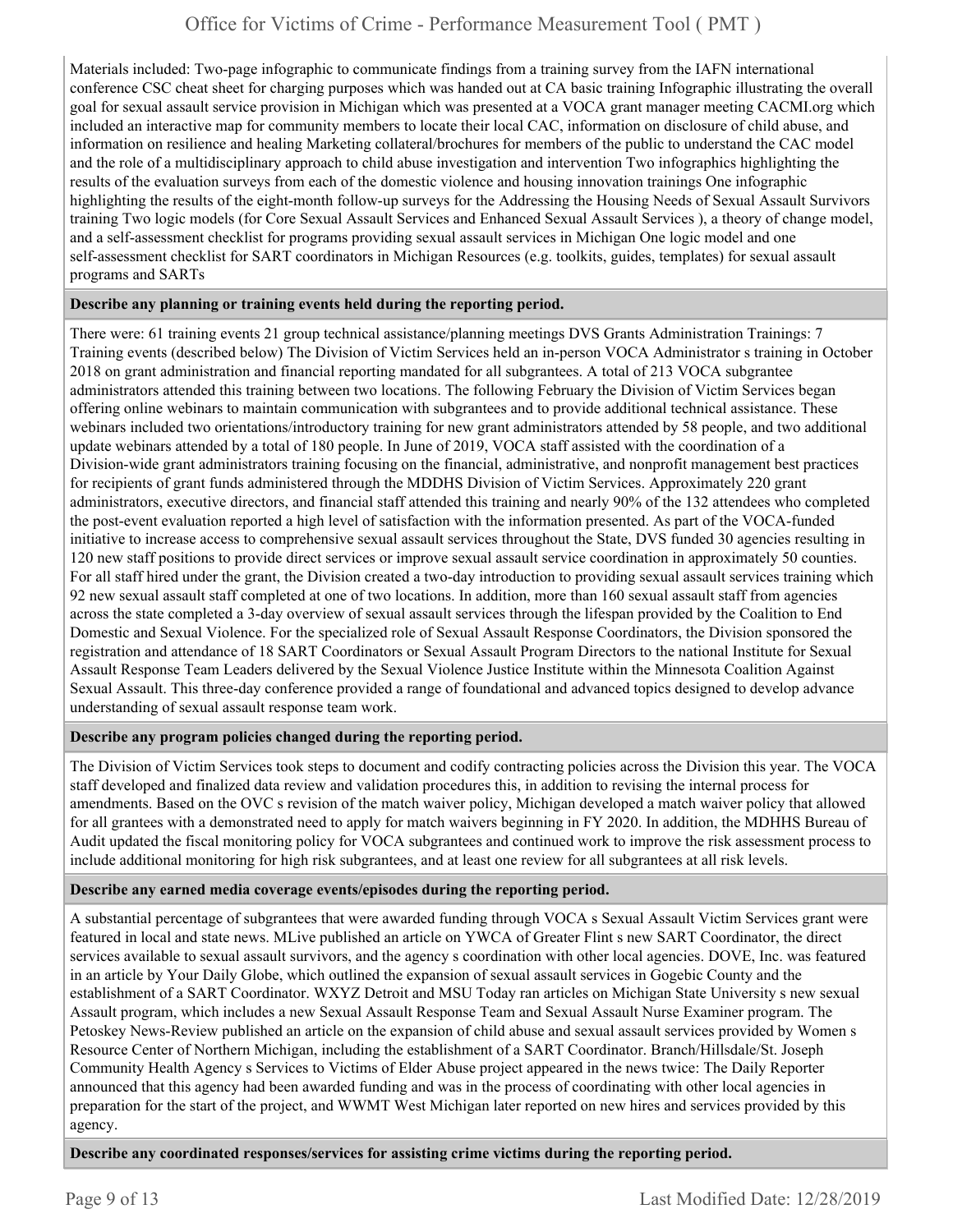Materials included: Two-page infographic to communicate findings from a training survey from the IAFN international conference CSC cheat sheet for charging purposes which was handed out at CA basic training Infographic illustrating the overall goal for sexual assault service provision in Michigan which was presented at a VOCA grant manager meeting CACMI.org which included an interactive map for community members to locate their local CAC, information on disclosure of child abuse, and information on resilience and healing Marketing collateral/brochures for members of the public to understand the CAC model and the role of a multidisciplinary approach to child abuse investigation and intervention Two infographics highlighting the results of the evaluation surveys from each of the domestic violence and housing innovation trainings One infographic highlighting the results of the eight-month follow-up surveys for the Addressing the Housing Needs of Sexual Assault Survivors training Two logic models (for Core Sexual Assault Services and Enhanced Sexual Assault Services ), a theory of change model, and a self-assessment checklist for programs providing sexual assault services in Michigan One logic model and one self-assessment checklist for SART coordinators in Michigan Resources (e.g. toolkits, guides, templates) for sexual assault programs and SARTs

#### **Describe any planning or training events held during the reporting period.**

There were: 61 training events 21 group technical assistance/planning meetings DVS Grants Administration Trainings: 7 Training events (described below) The Division of Victim Services held an in-person VOCA Administrator s training in October 2018 on grant administration and financial reporting mandated for all subgrantees. A total of 213 VOCA subgrantee administrators attended this training between two locations. The following February the Division of Victim Services began offering online webinars to maintain communication with subgrantees and to provide additional technical assistance. These webinars included two orientations/introductory training for new grant administrators attended by 58 people, and two additional update webinars attended by a total of 180 people. In June of 2019, VOCA staff assisted with the coordination of a Division-wide grant administrators training focusing on the financial, administrative, and nonprofit management best practices for recipients of grant funds administered through the MDDHS Division of Victim Services. Approximately 220 grant administrators, executive directors, and financial staff attended this training and nearly 90% of the 132 attendees who completed the post-event evaluation reported a high level of satisfaction with the information presented. As part of the VOCA-funded initiative to increase access to comprehensive sexual assault services throughout the State, DVS funded 30 agencies resulting in 120 new staff positions to provide direct services or improve sexual assault service coordination in approximately 50 counties. For all staff hired under the grant, the Division created a two-day introduction to providing sexual assault services training which 92 new sexual assault staff completed at one of two locations. In addition, more than 160 sexual assault staff from agencies across the state completed a 3-day overview of sexual assault services through the lifespan provided by the Coalition to End Domestic and Sexual Violence. For the specialized role of Sexual Assault Response Coordinators, the Division sponsored the registration and attendance of 18 SART Coordinators or Sexual Assault Program Directors to the national Institute for Sexual Assault Response Team Leaders delivered by the Sexual Violence Justice Institute within the Minnesota Coalition Against Sexual Assault. This three-day conference provided a range of foundational and advanced topics designed to develop advance understanding of sexual assault response team work.

#### **Describe any program policies changed during the reporting period.**

The Division of Victim Services took steps to document and codify contracting policies across the Division this year. The VOCA staff developed and finalized data review and validation procedures this, in addition to revising the internal process for amendments. Based on the OVC s revision of the match waiver policy, Michigan developed a match waiver policy that allowed for all grantees with a demonstrated need to apply for match waivers beginning in FY 2020. In addition, the MDHHS Bureau of Audit updated the fiscal monitoring policy for VOCA subgrantees and continued work to improve the risk assessment process to include additional monitoring for high risk subgrantees, and at least one review for all subgrantees at all risk levels.

#### **Describe any earned media coverage events/episodes during the reporting period.**

A substantial percentage of subgrantees that were awarded funding through VOCA s Sexual Assault Victim Services grant were featured in local and state news. MLive published an article on YWCA of Greater Flint s new SART Coordinator, the direct services available to sexual assault survivors, and the agency s coordination with other local agencies. DOVE, Inc. was featured in an article by Your Daily Globe, which outlined the expansion of sexual assault services in Gogebic County and the establishment of a SART Coordinator. WXYZ Detroit and MSU Today ran articles on Michigan State University s new sexual Assault program, which includes a new Sexual Assault Response Team and Sexual Assault Nurse Examiner program. The Petoskey News-Review published an article on the expansion of child abuse and sexual assault services provided by Women s Resource Center of Northern Michigan, including the establishment of a SART Coordinator. Branch/Hillsdale/St. Joseph Community Health Agency s Services to Victims of Elder Abuse project appeared in the news twice: The Daily Reporter announced that this agency had been awarded funding and was in the process of coordinating with other local agencies in preparation for the start of the project, and WWMT West Michigan later reported on new hires and services provided by this agency.

**Describe any coordinated responses/services for assisting crime victims during the reporting period.**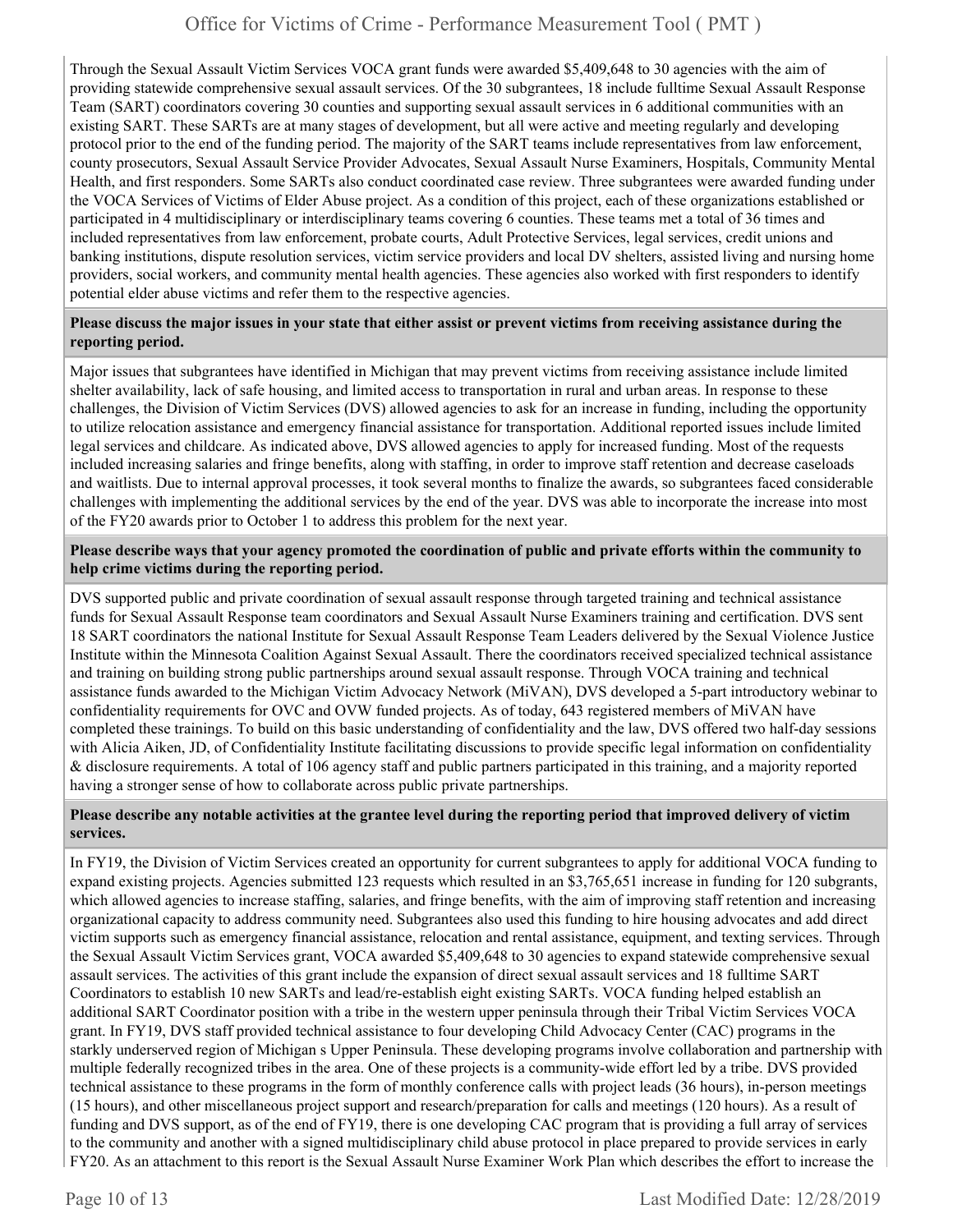Through the Sexual Assault Victim Services VOCA grant funds were awarded \$5,409,648 to 30 agencies with the aim of providing statewide comprehensive sexual assault services. Of the 30 subgrantees, 18 include fulltime Sexual Assault Response Team (SART) coordinators covering 30 counties and supporting sexual assault services in 6 additional communities with an existing SART. These SARTs are at many stages of development, but all were active and meeting regularly and developing protocol prior to the end of the funding period. The majority of the SART teams include representatives from law enforcement, county prosecutors, Sexual Assault Service Provider Advocates, Sexual Assault Nurse Examiners, Hospitals, Community Mental Health, and first responders. Some SARTs also conduct coordinated case review. Three subgrantees were awarded funding under the VOCA Services of Victims of Elder Abuse project. As a condition of this project, each of these organizations established or participated in 4 multidisciplinary or interdisciplinary teams covering 6 counties. These teams met a total of 36 times and included representatives from law enforcement, probate courts, Adult Protective Services, legal services, credit unions and banking institutions, dispute resolution services, victim service providers and local DV shelters, assisted living and nursing home providers, social workers, and community mental health agencies. These agencies also worked with first responders to identify potential elder abuse victims and refer them to the respective agencies.

#### **Please discuss the major issues in your state that either assist or prevent victims from receiving assistance during the reporting period.**

Major issues that subgrantees have identified in Michigan that may prevent victims from receiving assistance include limited shelter availability, lack of safe housing, and limited access to transportation in rural and urban areas. In response to these challenges, the Division of Victim Services (DVS) allowed agencies to ask for an increase in funding, including the opportunity to utilize relocation assistance and emergency financial assistance for transportation. Additional reported issues include limited legal services and childcare. As indicated above, DVS allowed agencies to apply for increased funding. Most of the requests included increasing salaries and fringe benefits, along with staffing, in order to improve staff retention and decrease caseloads and waitlists. Due to internal approval processes, it took several months to finalize the awards, so subgrantees faced considerable challenges with implementing the additional services by the end of the year. DVS was able to incorporate the increase into most of the FY20 awards prior to October 1 to address this problem for the next year.

#### **Please describe ways that your agency promoted the coordination of public and private efforts within the community to help crime victims during the reporting period.**

DVS supported public and private coordination of sexual assault response through targeted training and technical assistance funds for Sexual Assault Response team coordinators and Sexual Assault Nurse Examiners training and certification. DVS sent 18 SART coordinators the national Institute for Sexual Assault Response Team Leaders delivered by the Sexual Violence Justice Institute within the Minnesota Coalition Against Sexual Assault. There the coordinators received specialized technical assistance and training on building strong public partnerships around sexual assault response. Through VOCA training and technical assistance funds awarded to the Michigan Victim Advocacy Network (MiVAN), DVS developed a 5-part introductory webinar to confidentiality requirements for OVC and OVW funded projects. As of today, 643 registered members of MiVAN have completed these trainings. To build on this basic understanding of confidentiality and the law, DVS offered two half-day sessions with Alicia Aiken, JD, of Confidentiality Institute facilitating discussions to provide specific legal information on confidentiality & disclosure requirements. A total of 106 agency staff and public partners participated in this training, and a majority reported having a stronger sense of how to collaborate across public private partnerships.

#### **Please describe any notable activities at the grantee level during the reporting period that improved delivery of victim services.**

In FY19, the Division of Victim Services created an opportunity for current subgrantees to apply for additional VOCA funding to expand existing projects. Agencies submitted 123 requests which resulted in an \$3,765,651 increase in funding for 120 subgrants, which allowed agencies to increase staffing, salaries, and fringe benefits, with the aim of improving staff retention and increasing organizational capacity to address community need. Subgrantees also used this funding to hire housing advocates and add direct victim supports such as emergency financial assistance, relocation and rental assistance, equipment, and texting services. Through the Sexual Assault Victim Services grant, VOCA awarded \$5,409,648 to 30 agencies to expand statewide comprehensive sexual assault services. The activities of this grant include the expansion of direct sexual assault services and 18 fulltime SART Coordinators to establish 10 new SARTs and lead/re-establish eight existing SARTs. VOCA funding helped establish an additional SART Coordinator position with a tribe in the western upper peninsula through their Tribal Victim Services VOCA grant. In FY19, DVS staff provided technical assistance to four developing Child Advocacy Center (CAC) programs in the starkly underserved region of Michigan s Upper Peninsula. These developing programs involve collaboration and partnership with multiple federally recognized tribes in the area. One of these projects is a community-wide effort led by a tribe. DVS provided technical assistance to these programs in the form of monthly conference calls with project leads (36 hours), in-person meetings (15 hours), and other miscellaneous project support and research/preparation for calls and meetings (120 hours). As a result of funding and DVS support, as of the end of FY19, there is one developing CAC program that is providing a full array of services to the community and another with a signed multidisciplinary child abuse protocol in place prepared to provide services in early FY20. As an attachment to this report is the Sexual Assault Nurse Examiner Work Plan which describes the effort to increase the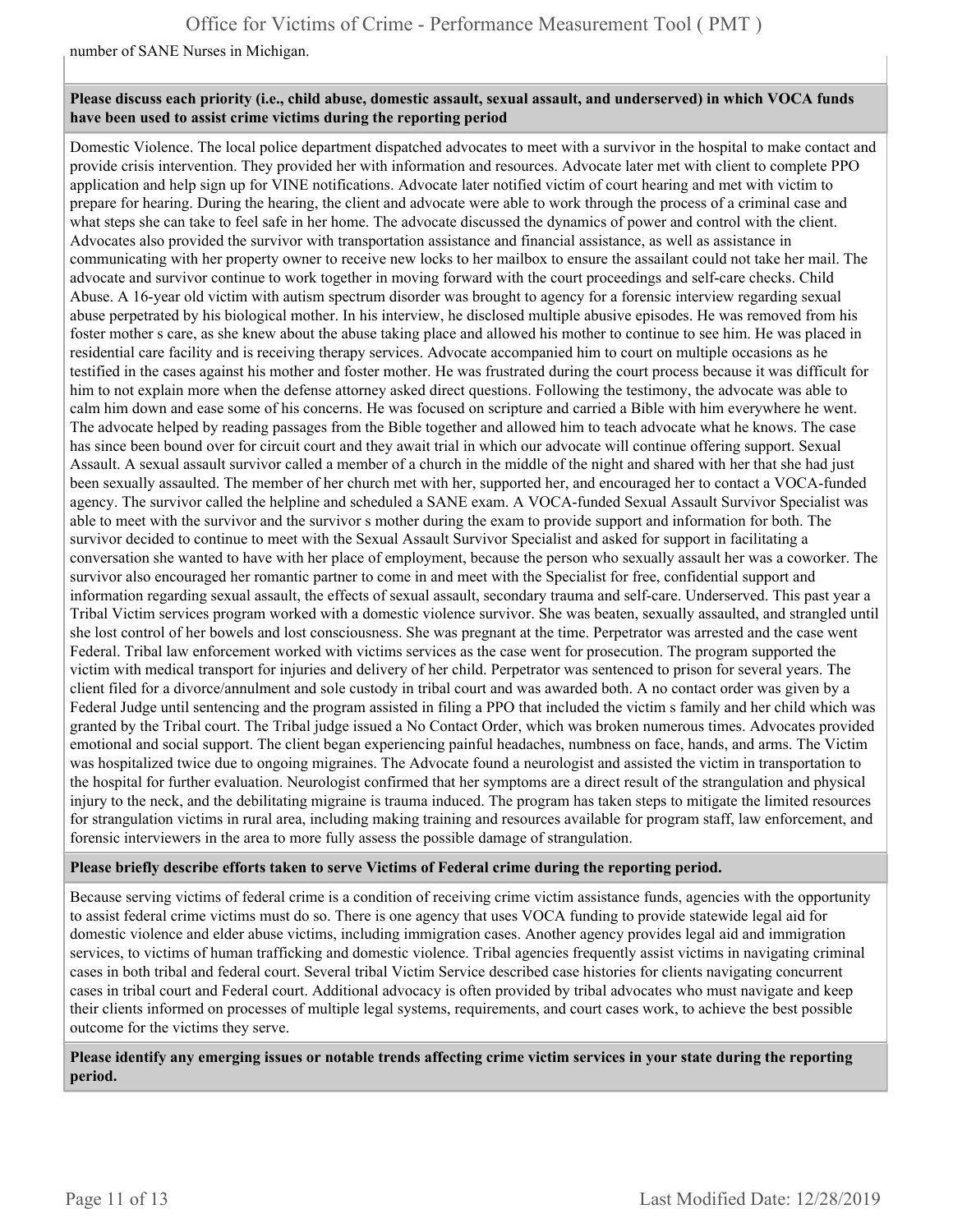number of SANE Nurses in Michigan.

#### **Please discuss each priority (i.e., child abuse, domestic assault, sexual assault, and underserved) in which VOCA funds have been used to assist crime victims during the reporting period**

Domestic Violence. The local police department dispatched advocates to meet with a survivor in the hospital to make contact and provide crisis intervention. They provided her with information and resources. Advocate later met with client to complete PPO application and help sign up for VINE notifications. Advocate later notified victim of court hearing and met with victim to prepare for hearing. During the hearing, the client and advocate were able to work through the process of a criminal case and what steps she can take to feel safe in her home. The advocate discussed the dynamics of power and control with the client. Advocates also provided the survivor with transportation assistance and financial assistance, as well as assistance in communicating with her property owner to receive new locks to her mailbox to ensure the assailant could not take her mail. The advocate and survivor continue to work together in moving forward with the court proceedings and self-care checks. Child Abuse. A 16-year old victim with autism spectrum disorder was brought to agency for a forensic interview regarding sexual abuse perpetrated by his biological mother. In his interview, he disclosed multiple abusive episodes. He was removed from his foster mother s care, as she knew about the abuse taking place and allowed his mother to continue to see him. He was placed in residential care facility and is receiving therapy services. Advocate accompanied him to court on multiple occasions as he testified in the cases against his mother and foster mother. He was frustrated during the court process because it was difficult for him to not explain more when the defense attorney asked direct questions. Following the testimony, the advocate was able to calm him down and ease some of his concerns. He was focused on scripture and carried a Bible with him everywhere he went. The advocate helped by reading passages from the Bible together and allowed him to teach advocate what he knows. The case has since been bound over for circuit court and they await trial in which our advocate will continue offering support. Sexual Assault. A sexual assault survivor called a member of a church in the middle of the night and shared with her that she had just been sexually assaulted. The member of her church met with her, supported her, and encouraged her to contact a VOCA-funded agency. The survivor called the helpline and scheduled a SANE exam. A VOCA-funded Sexual Assault Survivor Specialist was able to meet with the survivor and the survivor s mother during the exam to provide support and information for both. The survivor decided to continue to meet with the Sexual Assault Survivor Specialist and asked for support in facilitating a conversation she wanted to have with her place of employment, because the person who sexually assault her was a coworker. The survivor also encouraged her romantic partner to come in and meet with the Specialist for free, confidential support and information regarding sexual assault, the effects of sexual assault, secondary trauma and self-care. Underserved. This past year a Tribal Victim services program worked with a domestic violence survivor. She was beaten, sexually assaulted, and strangled until she lost control of her bowels and lost consciousness. She was pregnant at the time. Perpetrator was arrested and the case went Federal. Tribal law enforcement worked with victims services as the case went for prosecution. The program supported the victim with medical transport for injuries and delivery of her child. Perpetrator was sentenced to prison for several years. The client filed for a divorce/annulment and sole custody in tribal court and was awarded both. A no contact order was given by a Federal Judge until sentencing and the program assisted in filing a PPO that included the victim s family and her child which was granted by the Tribal court. The Tribal judge issued a No Contact Order, which was broken numerous times. Advocates provided emotional and social support. The client began experiencing painful headaches, numbness on face, hands, and arms. The Victim was hospitalized twice due to ongoing migraines. The Advocate found a neurologist and assisted the victim in transportation to the hospital for further evaluation. Neurologist confirmed that her symptoms are a direct result of the strangulation and physical injury to the neck, and the debilitating migraine is trauma induced. The program has taken steps to mitigate the limited resources for strangulation victims in rural area, including making training and resources available for program staff, law enforcement, and forensic interviewers in the area to more fully assess the possible damage of strangulation.

#### **Please briefly describe efforts taken to serve Victims of Federal crime during the reporting period.**

Because serving victims of federal crime is a condition of receiving crime victim assistance funds, agencies with the opportunity to assist federal crime victims must do so. There is one agency that uses VOCA funding to provide statewide legal aid for domestic violence and elder abuse victims, including immigration cases. Another agency provides legal aid and immigration services, to victims of human trafficking and domestic violence. Tribal agencies frequently assist victims in navigating criminal cases in both tribal and federal court. Several tribal Victim Service described case histories for clients navigating concurrent cases in tribal court and Federal court. Additional advocacy is often provided by tribal advocates who must navigate and keep their clients informed on processes of multiple legal systems, requirements, and court cases work, to achieve the best possible outcome for the victims they serve.

**Please identify any emerging issues or notable trends affecting crime victim services in your state during the reporting period.**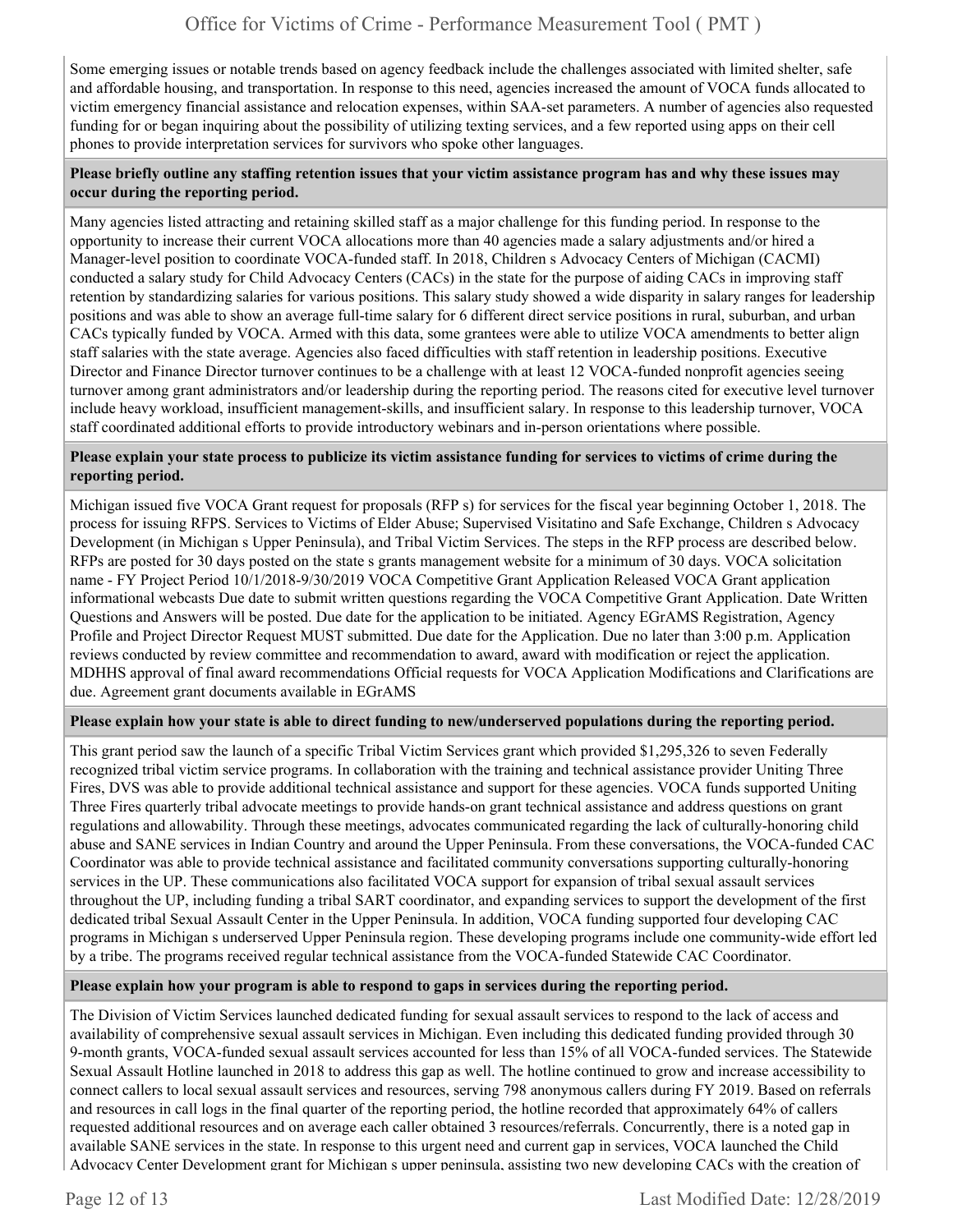Some emerging issues or notable trends based on agency feedback include the challenges associated with limited shelter, safe and affordable housing, and transportation. In response to this need, agencies increased the amount of VOCA funds allocated to victim emergency financial assistance and relocation expenses, within SAA-set parameters. A number of agencies also requested funding for or began inquiring about the possibility of utilizing texting services, and a few reported using apps on their cell phones to provide interpretation services for survivors who spoke other languages.

#### **Please briefly outline any staffing retention issues that your victim assistance program has and why these issues may occur during the reporting period.**

Many agencies listed attracting and retaining skilled staff as a major challenge for this funding period. In response to the opportunity to increase their current VOCA allocations more than 40 agencies made a salary adjustments and/or hired a Manager-level position to coordinate VOCA-funded staff. In 2018, Children s Advocacy Centers of Michigan (CACMI) conducted a salary study for Child Advocacy Centers (CACs) in the state for the purpose of aiding CACs in improving staff retention by standardizing salaries for various positions. This salary study showed a wide disparity in salary ranges for leadership positions and was able to show an average full-time salary for 6 different direct service positions in rural, suburban, and urban CACs typically funded by VOCA. Armed with this data, some grantees were able to utilize VOCA amendments to better align staff salaries with the state average. Agencies also faced difficulties with staff retention in leadership positions. Executive Director and Finance Director turnover continues to be a challenge with at least 12 VOCA-funded nonprofit agencies seeing turnover among grant administrators and/or leadership during the reporting period. The reasons cited for executive level turnover include heavy workload, insufficient management-skills, and insufficient salary. In response to this leadership turnover, VOCA staff coordinated additional efforts to provide introductory webinars and in-person orientations where possible.

#### **Please explain your state process to publicize its victim assistance funding for services to victims of crime during the reporting period.**

Michigan issued five VOCA Grant request for proposals (RFP s) for services for the fiscal year beginning October 1, 2018. The process for issuing RFPS. Services to Victims of Elder Abuse; Supervised Visitatino and Safe Exchange, Children s Advocacy Development (in Michigan s Upper Peninsula), and Tribal Victim Services. The steps in the RFP process are described below. RFPs are posted for 30 days posted on the state s grants management website for a minimum of 30 days. VOCA solicitation name - FY Project Period 10/1/2018-9/30/2019 VOCA Competitive Grant Application Released VOCA Grant application informational webcasts Due date to submit written questions regarding the VOCA Competitive Grant Application. Date Written Questions and Answers will be posted. Due date for the application to be initiated. Agency EGrAMS Registration, Agency Profile and Project Director Request MUST submitted. Due date for the Application. Due no later than 3:00 p.m. Application reviews conducted by review committee and recommendation to award, award with modification or reject the application. MDHHS approval of final award recommendations Official requests for VOCA Application Modifications and Clarifications are due. Agreement grant documents available in EGrAMS

#### **Please explain how your state is able to direct funding to new/underserved populations during the reporting period.**

This grant period saw the launch of a specific Tribal Victim Services grant which provided \$1,295,326 to seven Federally recognized tribal victim service programs. In collaboration with the training and technical assistance provider Uniting Three Fires, DVS was able to provide additional technical assistance and support for these agencies. VOCA funds supported Uniting Three Fires quarterly tribal advocate meetings to provide hands-on grant technical assistance and address questions on grant regulations and allowability. Through these meetings, advocates communicated regarding the lack of culturally-honoring child abuse and SANE services in Indian Country and around the Upper Peninsula. From these conversations, the VOCA-funded CAC Coordinator was able to provide technical assistance and facilitated community conversations supporting culturally-honoring services in the UP. These communications also facilitated VOCA support for expansion of tribal sexual assault services throughout the UP, including funding a tribal SART coordinator, and expanding services to support the development of the first dedicated tribal Sexual Assault Center in the Upper Peninsula. In addition, VOCA funding supported four developing CAC programs in Michigan s underserved Upper Peninsula region. These developing programs include one community-wide effort led by a tribe. The programs received regular technical assistance from the VOCA-funded Statewide CAC Coordinator.

#### **Please explain how your program is able to respond to gaps in services during the reporting period.**

The Division of Victim Services launched dedicated funding for sexual assault services to respond to the lack of access and availability of comprehensive sexual assault services in Michigan. Even including this dedicated funding provided through 30 9-month grants, VOCA-funded sexual assault services accounted for less than 15% of all VOCA-funded services. The Statewide Sexual Assault Hotline launched in 2018 to address this gap as well. The hotline continued to grow and increase accessibility to connect callers to local sexual assault services and resources, serving 798 anonymous callers during FY 2019. Based on referrals and resources in call logs in the final quarter of the reporting period, the hotline recorded that approximately 64% of callers requested additional resources and on average each caller obtained 3 resources/referrals. Concurrently, there is a noted gap in available SANE services in the state. In response to this urgent need and current gap in services, VOCA launched the Child Advocacy Center Development grant for Michigan s upper peninsula, assisting two new developing CACs with the creation of